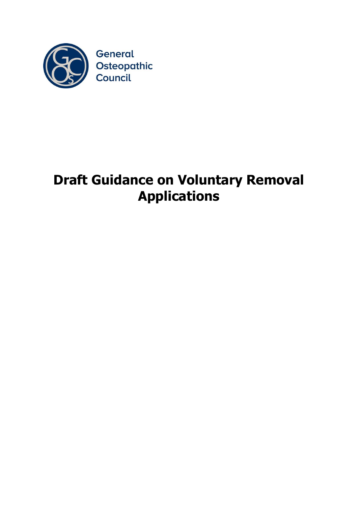

## **Draft Guidance on Voluntary Removal Applications**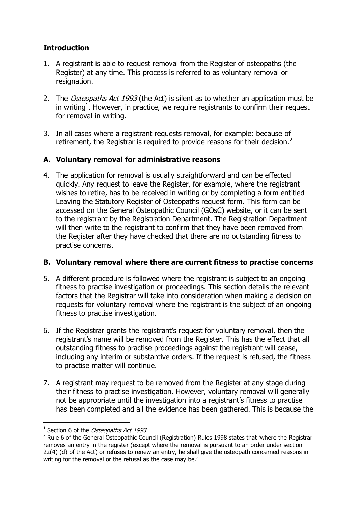## **Introduction**

- 1. A registrant is able to request removal from the Register of osteopaths (the Register) at any time. This process is referred to as voluntary removal or resignation.
- 2. The Osteopaths Act 1993 (the Act) is silent as to whether an application must be in writing<sup>1</sup>. However, in practice, we require registrants to confirm their request for removal in writing.
- 3. In all cases where a registrant requests removal, for example: because of retirement, the Registrar is required to provide reasons for their decision.<sup>2</sup>

## **A. Voluntary removal for administrative reasons**

4. The application for removal is usually straightforward and can be effected quickly. Any request to leave the Register, for example, where the registrant wishes to retire, has to be received in writing or by completing a form entitled Leaving the Statutory Register of Osteopaths request form. This form can be accessed on the General Osteopathic Council (GOsC) website, or it can be sent to the registrant by the Registration Department. The Registration Department will then write to the registrant to confirm that they have been removed from the Register after they have checked that there are no outstanding fitness to practise concerns.

## **B. Voluntary removal where there are current fitness to practise concerns**

- 5. A different procedure is followed where the registrant is subject to an ongoing fitness to practise investigation or proceedings. This section details the relevant factors that the Registrar will take into consideration when making a decision on requests for voluntary removal where the registrant is the subject of an ongoing fitness to practise investigation.
- 6. If the Registrar grants the registrant's request for voluntary removal, then the registrant's name will be removed from the Register. This has the effect that all outstanding fitness to practise proceedings against the registrant will cease, including any interim or substantive orders. If the request is refused, the fitness to practise matter will continue.
- 7. A registrant may request to be removed from the Register at any stage during their fitness to practise investigation. However, voluntary removal will generally not be appropriate until the investigation into a registrant's fitness to practise has been completed and all the evidence has been gathered. This is because the

-

<sup>&</sup>lt;sup>1</sup> Section 6 of the Osteopaths Act 1993

<sup>&</sup>lt;sup>2</sup> Rule 6 of the General Osteopathic Council (Registration) Rules 1998 states that 'where the Registrar removes an entry in the register (except where the removal is pursuant to an order under section 22(4) (d) of the Act) or refuses to renew an entry, he shall give the osteopath concerned reasons in writing for the removal or the refusal as the case may be.'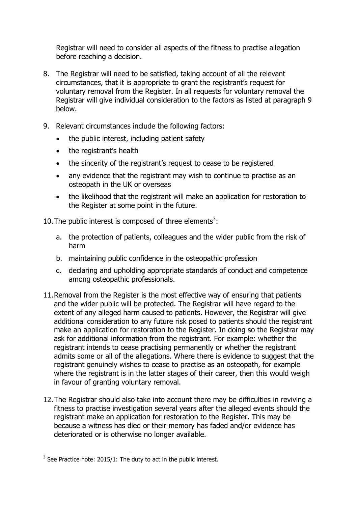Registrar will need to consider all aspects of the fitness to practise allegation before reaching a decision.

- 8. The Registrar will need to be satisfied, taking account of all the relevant circumstances, that it is appropriate to grant the registrant's request for voluntary removal from the Register. In all requests for voluntary removal the Registrar will give individual consideration to the factors as listed at paragraph 9 below.
- 9. Relevant circumstances include the following factors:
	- the public interest, including patient safety
	- the registrant's health
	- the sincerity of the registrant's request to cease to be registered
	- any evidence that the registrant may wish to continue to practise as an osteopath in the UK or overseas
	- the likelihood that the registrant will make an application for restoration to the Register at some point in the future.

10. The public interest is composed of three elements<sup>3</sup>:

- a. the protection of patients, colleagues and the wider public from the risk of harm
- b. maintaining public confidence in the osteopathic profession
- c. declaring and upholding appropriate standards of conduct and competence among osteopathic professionals.
- 11.Removal from the Register is the most effective way of ensuring that patients and the wider public will be protected. The Registrar will have regard to the extent of any alleged harm caused to patients. However, the Registrar will give additional consideration to any future risk posed to patients should the registrant make an application for restoration to the Register. In doing so the Registrar may ask for additional information from the registrant. For example: whether the registrant intends to cease practising permanently or whether the registrant admits some or all of the allegations. Where there is evidence to suggest that the registrant genuinely wishes to cease to practise as an osteopath, for example where the registrant is in the latter stages of their career, then this would weigh in favour of granting voluntary removal.
- 12.The Registrar should also take into account there may be difficulties in reviving a fitness to practise investigation several years after the alleged events should the registrant make an application for restoration to the Register. This may be because a witness has died or their memory has faded and/or evidence has deteriorated or is otherwise no longer available.

-

 $3$  See Practice note: 2015/1: The duty to act in the public interest.